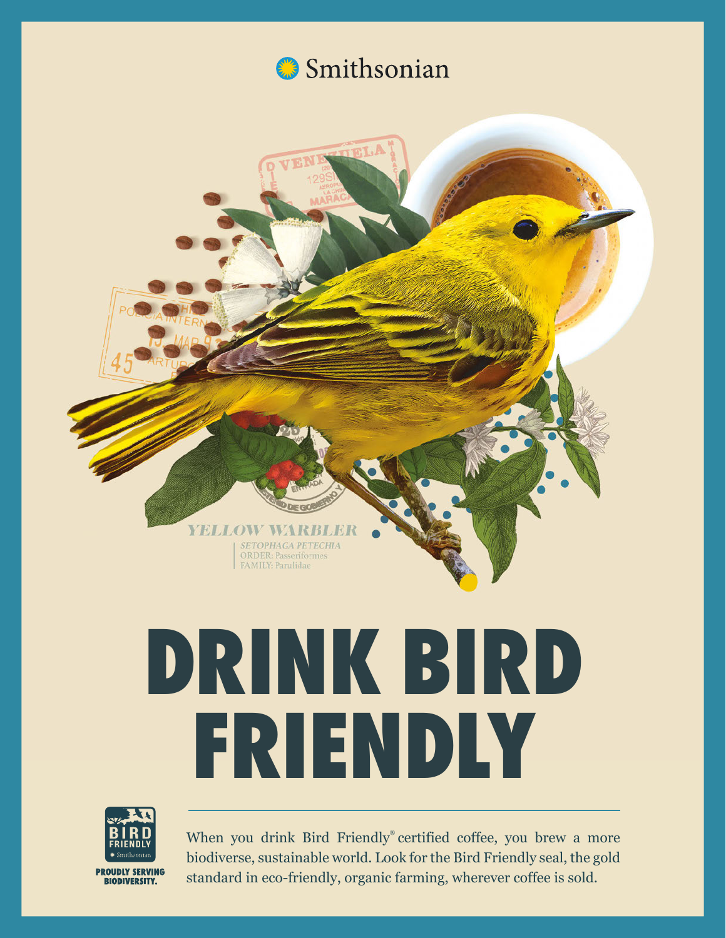

# **DRINK BIRD FRIENDLY**

**YELLOW W** 

**SETOPHAGA PETECHIA** ORDER: Passeriformes FAMILY: Parulidae



**BIODIVERSITY.** 

When you drink Bird Friendly® certified coffee, you brew a more biodiverse, sustainable world. Look for the Bird Friendly seal, the gold standard in eco-friendly, organic farming, wherever coffee is sold.